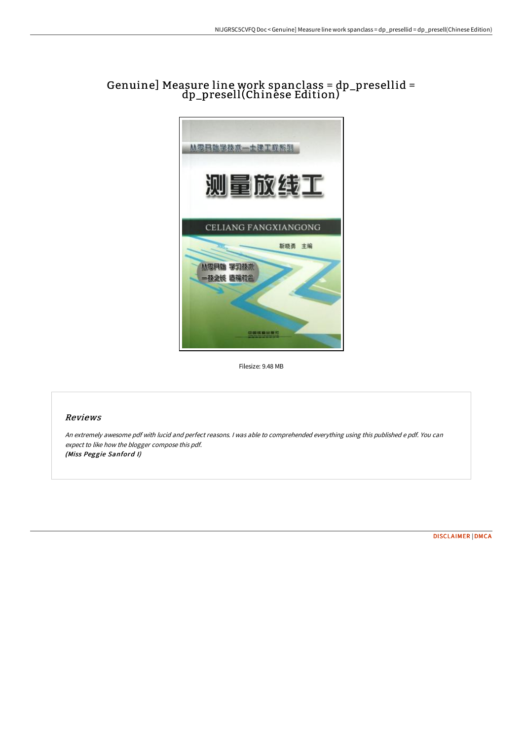# Genuine] Measure line work spanclass = dp\_presellid = dp\_presell(Chinese Edition)



Filesize: 9.48 MB

## Reviews

An extremely awesome pdf with lucid and perfect reasons. <sup>I</sup> was able to comprehended everything using this published <sup>e</sup> pdf. You can expect to like how the blogger compose this pdf. (Miss Peggie Sanford I)

[DISCLAIMER](http://techno-pub.tech/disclaimer.html) | [DMCA](http://techno-pub.tech/dmca.html)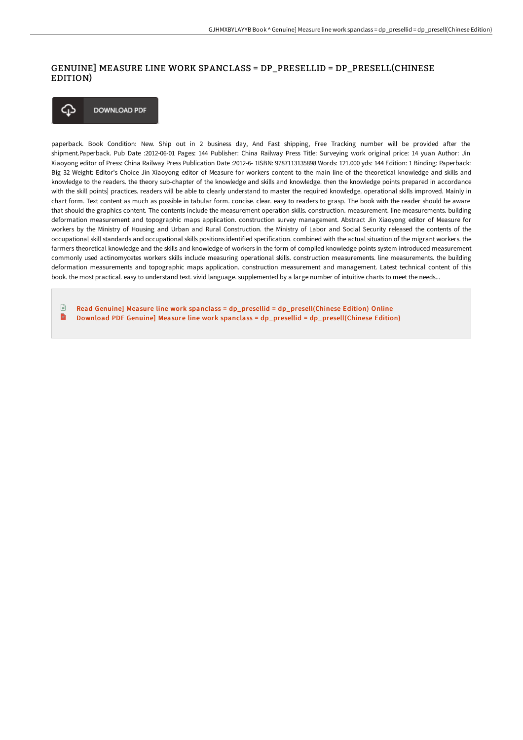## GENUINE] MEASURE LINE WORK SPANCLASS = DP\_PRESELLID = DP\_PRESELL(CHINESE EDITION)



paperback. Book Condition: New. Ship out in 2 business day, And Fast shipping, Free Tracking number will be provided after the shipment.Paperback. Pub Date :2012-06-01 Pages: 144 Publisher: China Railway Press Title: Surveying work original price: 14 yuan Author: Jin Xiaoyong editor of Press: China Railway Press Publication Date :2012-6- 1ISBN: 9787113135898 Words: 121.000 yds: 144 Edition: 1 Binding: Paperback: Big 32 Weight: Editor's Choice Jin Xiaoyong editor of Measure for workers content to the main line of the theoretical knowledge and skills and knowledge to the readers. the theory sub-chapter of the knowledge and skills and knowledge. then the knowledge points prepared in accordance with the skill points] practices. readers will be able to clearly understand to master the required knowledge. operational skills improved. Mainly in chart form. Text content as much as possible in tabular form. concise. clear. easy to readers to grasp. The book with the reader should be aware that should the graphics content. The contents include the measurement operation skills. construction. measurement. line measurements. building deformation measurement and topographic maps application. construction survey management. Abstract Jin Xiaoyong editor of Measure for workers by the Ministry of Housing and Urban and Rural Construction. the Ministry of Labor and Social Security released the contents of the occupational skill standards and occupational skills positions identified specification. combined with the actual situation of the migrant workers. the farmers theoretical knowledge and the skills and knowledge of workers in the form of compiled knowledge points system introduced measurement commonly used actinomycetes workers skills include measuring operational skills. construction measurements. line measurements. the building deformation measurements and topographic maps application. construction measurement and management. Latest technical content of this book. the most practical. easy to understand text. vivid language. supplemented by a large number of intuitive charts to meet the needs...

 $\Box$ Read Genuine] Measure line work spanclass = dp\_presellid = [dp\\_presell\(Chinese](http://techno-pub.tech/genuine-measure-line-work-spanclass-dp-presellid.html) Edition) Online E Download PDF Genuine] Measure line work spanclass = dp\_presellid = [dp\\_presell\(Chinese](http://techno-pub.tech/genuine-measure-line-work-spanclass-dp-presellid.html) Edition)